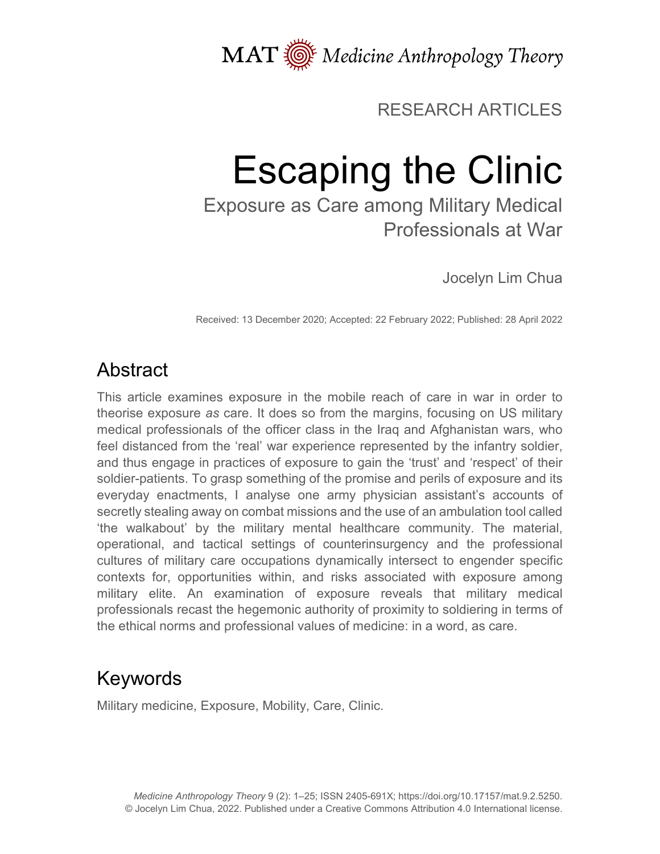

# RESEARCH ARTICLES

# Escaping the Clinic

Exposure as Care among Military Medical Professionals at War

Jocelyn Lim Chua

Received: 13 December 2020; Accepted: 22 February 2022; Published: 28 April 2022

# Abstract

This article examines exposure in the mobile reach of care in war in order to theorise exposure *as* care. It does so from the margins, focusing on US military medical professionals of the officer class in the Iraq and Afghanistan wars, who feel distanced from the 'real' war experience represented by the infantry soldier, and thus engage in practices of exposure to gain the 'trust' and 'respect' of their soldier-patients. To grasp something of the promise and perils of exposure and its everyday enactments, I analyse one army physician assistant's accounts of secretly stealing away on combat missions and the use of an ambulation tool called 'the walkabout' by the military mental healthcare community. The material, operational, and tactical settings of counterinsurgency and the professional cultures of military care occupations dynamically intersect to engender specific contexts for, opportunities within, and risks associated with exposure among military elite. An examination of exposure reveals that military medical professionals recast the hegemonic authority of proximity to soldiering in terms of the ethical norms and professional values of medicine: in a word, as care.

# Keywords

Military medicine, Exposure, Mobility, Care, Clinic.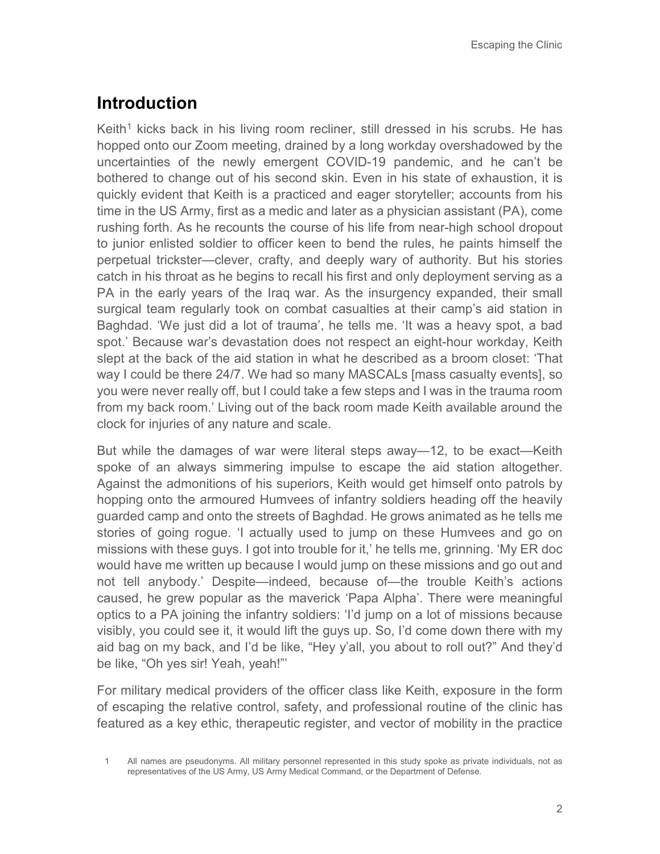# **Introduction**

Keith<sup>[1](#page-1-0)</sup> kicks back in his living room recliner, still dressed in his scrubs. He has hopped onto our Zoom meeting, drained by a long workday overshadowed by the uncertainties of the newly emergent COVID-19 pandemic, and he can't be bothered to change out of his second skin. Even in his state of exhaustion, it is quickly evident that Keith is a practiced and eager storyteller; accounts from his time in the US Army, first as a medic and later as a physician assistant (PA), come rushing forth. As he recounts the course of his life from near-high school dropout to junior enlisted soldier to officer keen to bend the rules, he paints himself the perpetual trickster—clever, crafty, and deeply wary of authority. But his stories catch in his throat as he begins to recall his first and only deployment serving as a PA in the early years of the Iraq war. As the insurgency expanded, their small surgical team regularly took on combat casualties at their camp's aid station in Baghdad. 'We just did a lot of trauma', he tells me. 'It was a heavy spot, a bad spot.' Because war's devastation does not respect an eight-hour workday, Keith slept at the back of the aid station in what he described as a broom closet: 'That way I could be there 24/7. We had so many MASCALs [mass casualty events], so you were never really off, but I could take a few steps and I was in the trauma room from my back room.' Living out of the back room made Keith available around the clock for injuries of any nature and scale.

But while the damages of war were literal steps away—12, to be exact—Keith spoke of an always simmering impulse to escape the aid station altogether. Against the admonitions of his superiors, Keith would get himself onto patrols by hopping onto the armoured Humvees of infantry soldiers heading off the heavily guarded camp and onto the streets of Baghdad. He grows animated as he tells me stories of going rogue. 'I actually used to jump on these Humvees and go on missions with these guys. I got into trouble for it,' he tells me, grinning. 'My ER doc would have me written up because I would jump on these missions and go out and not tell anybody.' Despite—indeed, because of—the trouble Keith's actions caused, he grew popular as the maverick 'Papa Alpha'. There were meaningful optics to a PA joining the infantry soldiers: 'I'd jump on a lot of missions because visibly, you could see it, it would lift the guys up. So, I'd come down there with my aid bag on my back, and I'd be like, "Hey y'all, you about to roll out?" And they'd be like, "Oh yes sir! Yeah, yeah!"'

For military medical providers of the officer class like Keith, exposure in the form of escaping the relative control, safety, and professional routine of the clinic has featured as a key ethic, therapeutic register, and vector of mobility in the practice

<span id="page-1-0"></span><sup>1</sup> All names are pseudonyms. All military personnel represented in this study spoke as private individuals, not as representatives of the US Army, US Army Medical Command, or the Department of Defense.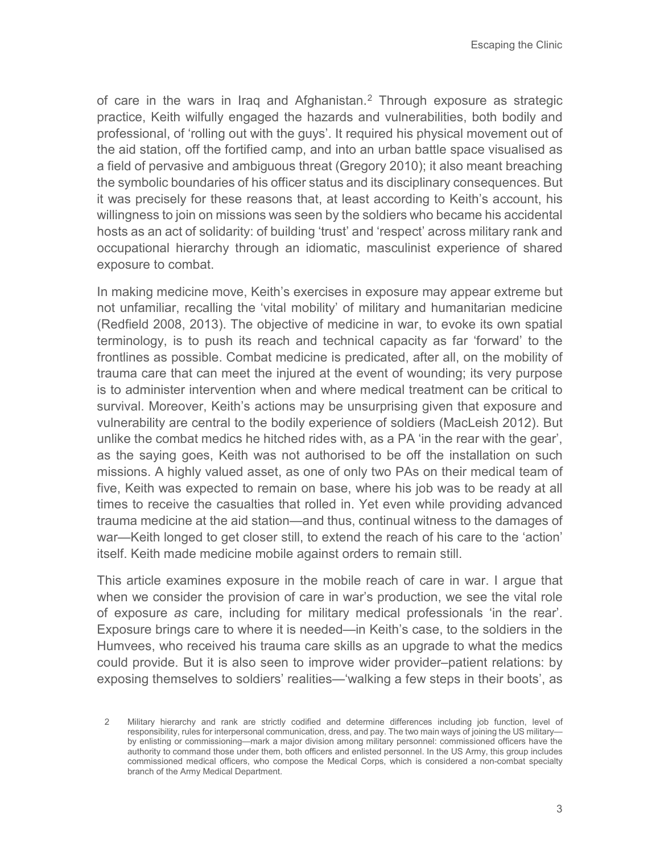of care in the wars in Iraq and Afghanistan.<sup>[2](#page-2-0)</sup> Through exposure as strategic practice, Keith wilfully engaged the hazards and vulnerabilities, both bodily and professional, of 'rolling out with the guys'. It required his physical movement out of the aid station, off the fortified camp, and into an urban battle space visualised as a field of pervasive and ambiguous threat (Gregory 2010); it also meant breaching the symbolic boundaries of his officer status and its disciplinary consequences. But it was precisely for these reasons that, at least according to Keith's account, his willingness to join on missions was seen by the soldiers who became his accidental hosts as an act of solidarity: of building 'trust' and 'respect' across military rank and occupational hierarchy through an idiomatic, masculinist experience of shared exposure to combat.

In making medicine move, Keith's exercises in exposure may appear extreme but not unfamiliar, recalling the 'vital mobility' of military and humanitarian medicine (Redfield 2008, 2013). The objective of medicine in war, to evoke its own spatial terminology, is to push its reach and technical capacity as far 'forward' to the frontlines as possible. Combat medicine is predicated, after all, on the mobility of trauma care that can meet the injured at the event of wounding; its very purpose is to administer intervention when and where medical treatment can be critical to survival. Moreover, Keith's actions may be unsurprising given that exposure and vulnerability are central to the bodily experience of soldiers (MacLeish 2012). But unlike the combat medics he hitched rides with, as a PA 'in the rear with the gear', as the saying goes, Keith was not authorised to be off the installation on such missions. A highly valued asset, as one of only two PAs on their medical team of five, Keith was expected to remain on base, where his job was to be ready at all times to receive the casualties that rolled in. Yet even while providing advanced trauma medicine at the aid station—and thus, continual witness to the damages of war—Keith longed to get closer still, to extend the reach of his care to the 'action' itself. Keith made medicine mobile against orders to remain still.

This article examines exposure in the mobile reach of care in war. I argue that when we consider the provision of care in war's production, we see the vital role of exposure *as* care, including for military medical professionals 'in the rear'. Exposure brings care to where it is needed—in Keith's case, to the soldiers in the Humvees, who received his trauma care skills as an upgrade to what the medics could provide. But it is also seen to improve wider provider–patient relations: by exposing themselves to soldiers' realities—'walking a few steps in their boots', as

<span id="page-2-0"></span><sup>2</sup> Military hierarchy and rank are strictly codified and determine differences including job function, level of responsibility, rules for interpersonal communication, dress, and pay. The two main ways of joining the US military by enlisting or commissioning—mark a major division among military personnel: commissioned officers have the authority to command those under them, both officers and enlisted personnel. In the US Army, this group includes commissioned medical officers, who compose the Medical Corps, which is considered a non-combat specialty branch of the Army Medical Department.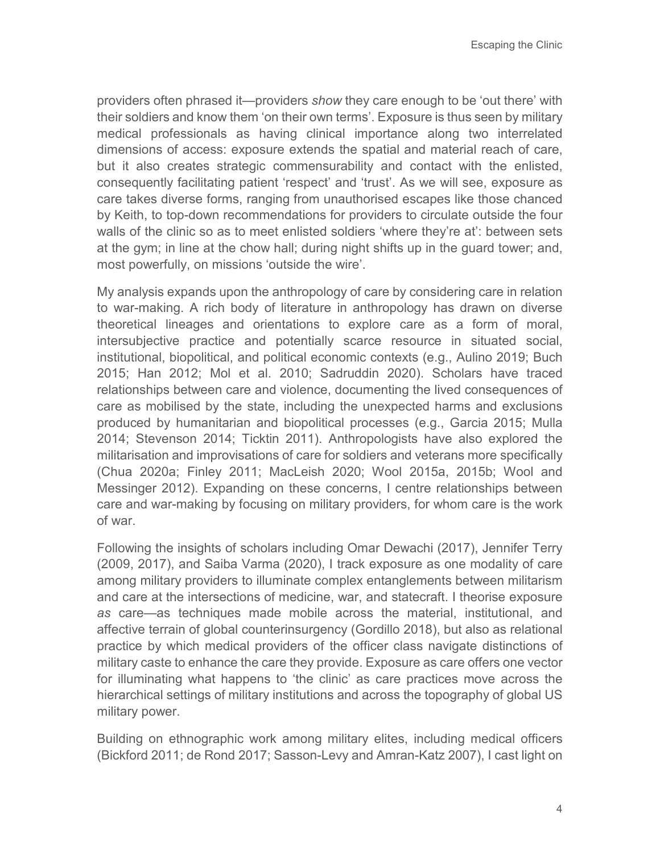providers often phrased it—providers *show* they care enough to be 'out there' with their soldiers and know them 'on their own terms'. Exposure is thus seen by military medical professionals as having clinical importance along two interrelated dimensions of access: exposure extends the spatial and material reach of care, but it also creates strategic commensurability and contact with the enlisted, consequently facilitating patient 'respect' and 'trust'. As we will see, exposure as care takes diverse forms, ranging from unauthorised escapes like those chanced by Keith, to top-down recommendations for providers to circulate outside the four walls of the clinic so as to meet enlisted soldiers 'where they're at': between sets at the gym; in line at the chow hall; during night shifts up in the guard tower; and, most powerfully, on missions 'outside the wire'.

My analysis expands upon the anthropology of care by considering care in relation to war-making. A rich body of literature in anthropology has drawn on diverse theoretical lineages and orientations to explore care as a form of moral, intersubjective practice and potentially scarce resource in situated social, institutional, biopolitical, and political economic contexts (e.g., Aulino 2019; Buch 2015; Han 2012; Mol et al. 2010; Sadruddin 2020). Scholars have traced relationships between care and violence, documenting the lived consequences of care as mobilised by the state, including the unexpected harms and exclusions produced by humanitarian and biopolitical processes (e.g., Garcia 2015; Mulla 2014; Stevenson 2014; Ticktin 2011). Anthropologists have also explored the militarisation and improvisations of care for soldiers and veterans more specifically (Chua 2020a; Finley 2011; MacLeish 2020; Wool 2015a, 2015b; Wool and Messinger 2012). Expanding on these concerns, I centre relationships between care and war-making by focusing on military providers, for whom care is the work of war.

Following the insights of scholars including Omar Dewachi (2017), Jennifer Terry (2009, 2017), and Saiba Varma (2020), I track exposure as one modality of care among military providers to illuminate complex entanglements between militarism and care at the intersections of medicine, war, and statecraft. I theorise exposure *as* care—as techniques made mobile across the material, institutional, and affective terrain of global counterinsurgency (Gordillo 2018), but also as relational practice by which medical providers of the officer class navigate distinctions of military caste to enhance the care they provide. Exposure as care offers one vector for illuminating what happens to 'the clinic' as care practices move across the hierarchical settings of military institutions and across the topography of global US military power.

Building on ethnographic work among military elites, including medical officers (Bickford 2011; de Rond 2017; Sasson-Levy and Amran-Katz 2007), I cast light on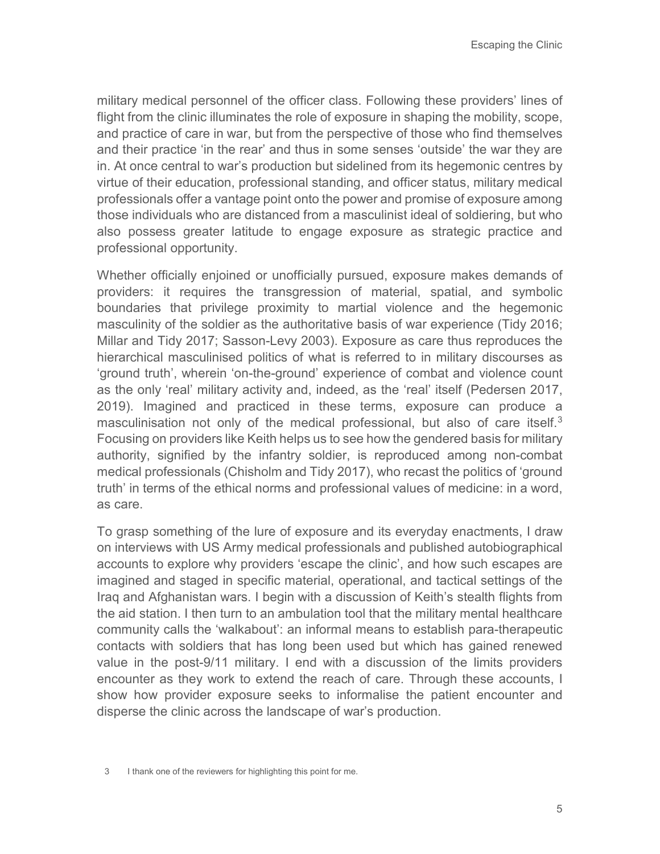military medical personnel of the officer class. Following these providers' lines of flight from the clinic illuminates the role of exposure in shaping the mobility, scope, and practice of care in war, but from the perspective of those who find themselves and their practice 'in the rear' and thus in some senses 'outside' the war they are in. At once central to war's production but sidelined from its hegemonic centres by virtue of their education, professional standing, and officer status, military medical professionals offer a vantage point onto the power and promise of exposure among those individuals who are distanced from a masculinist ideal of soldiering, but who also possess greater latitude to engage exposure as strategic practice and professional opportunity.

Whether officially enjoined or unofficially pursued, exposure makes demands of providers: it requires the transgression of material, spatial, and symbolic boundaries that privilege proximity to martial violence and the hegemonic masculinity of the soldier as the authoritative basis of war experience (Tidy 2016; Millar and Tidy 2017; Sasson-Levy 2003). Exposure as care thus reproduces the hierarchical masculinised politics of what is referred to in military discourses as 'ground truth', wherein 'on-the-ground' experience of combat and violence count as the only 'real' military activity and, indeed, as the 'real' itself (Pedersen 2017, 2019). Imagined and practiced in these terms, exposure can produce a masculinisation not only of the medical professional, but also of care itself.<sup>[3](#page-4-0)</sup> Focusing on providers like Keith helps us to see how the gendered basis for military authority, signified by the infantry soldier, is reproduced among non-combat medical professionals (Chisholm and Tidy 2017), who recast the politics of 'ground truth' in terms of the ethical norms and professional values of medicine: in a word, as care.

<span id="page-4-0"></span>To grasp something of the lure of exposure and its everyday enactments, I draw on interviews with US Army medical professionals and published autobiographical accounts to explore why providers 'escape the clinic', and how such escapes are imagined and staged in specific material, operational, and tactical settings of the Iraq and Afghanistan wars. I begin with a discussion of Keith's stealth flights from the aid station. I then turn to an ambulation tool that the military mental healthcare community calls the 'walkabout': an informal means to establish para-therapeutic contacts with soldiers that has long been used but which has gained renewed value in the post-9/11 military. I end with a discussion of the limits providers encounter as they work to extend the reach of care. Through these accounts, I show how provider exposure seeks to informalise the patient encounter and disperse the clinic across the landscape of war's production.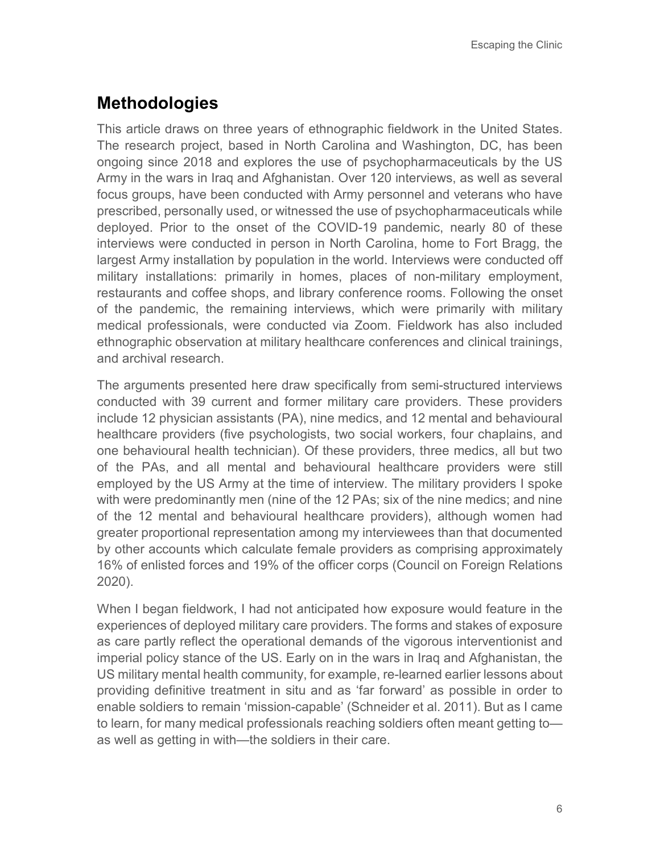# **Methodologies**

This article draws on three years of ethnographic fieldwork in the United States. The research project, based in North Carolina and Washington, DC, has been ongoing since 2018 and explores the use of psychopharmaceuticals by the US Army in the wars in Iraq and Afghanistan. Over 120 interviews, as well as several focus groups, have been conducted with Army personnel and veterans who have prescribed, personally used, or witnessed the use of psychopharmaceuticals while deployed. Prior to the onset of the COVID-19 pandemic, nearly 80 of these interviews were conducted in person in North Carolina, home to Fort Bragg, the largest Army installation by population in the world. Interviews were conducted off military installations: primarily in homes, places of non-military employment, restaurants and coffee shops, and library conference rooms. Following the onset of the pandemic, the remaining interviews, which were primarily with military medical professionals, were conducted via Zoom. Fieldwork has also included ethnographic observation at military healthcare conferences and clinical trainings, and archival research.

The arguments presented here draw specifically from semi-structured interviews conducted with 39 current and former military care providers. These providers include 12 physician assistants (PA), nine medics, and 12 mental and behavioural healthcare providers (five psychologists, two social workers, four chaplains, and one behavioural health technician). Of these providers, three medics, all but two of the PAs, and all mental and behavioural healthcare providers were still employed by the US Army at the time of interview. The military providers I spoke with were predominantly men (nine of the 12 PAs; six of the nine medics; and nine of the 12 mental and behavioural healthcare providers), although women had greater proportional representation among my interviewees than that documented by other accounts which calculate female providers as comprising approximately 16% of enlisted forces and 19% of the officer corps (Council on Foreign Relations 2020).

When I began fieldwork, I had not anticipated how exposure would feature in the experiences of deployed military care providers. The forms and stakes of exposure as care partly reflect the operational demands of the vigorous interventionist and imperial policy stance of the US. Early on in the wars in Iraq and Afghanistan, the US military mental health community, for example, re-learned earlier lessons about providing definitive treatment in situ and as 'far forward' as possible in order to enable soldiers to remain 'mission-capable' (Schneider et al. 2011). But as I came to learn, for many medical professionals reaching soldiers often meant getting to as well as getting in with—the soldiers in their care.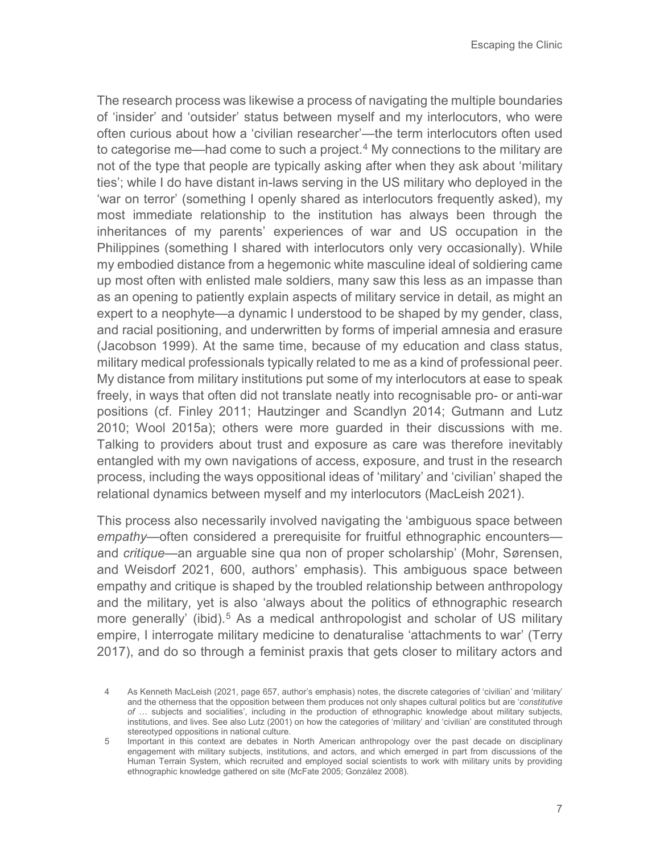The research process was likewise a process of navigating the multiple boundaries of 'insider' and 'outsider' status between myself and my interlocutors, who were often curious about how a 'civilian researcher'—the term interlocutors often used to categorise me—had come to such a project. $4$  My connections to the military are not of the type that people are typically asking after when they ask about 'military ties'; while I do have distant in-laws serving in the US military who deployed in the 'war on terror' (something I openly shared as interlocutors frequently asked), my most immediate relationship to the institution has always been through the inheritances of my parents' experiences of war and US occupation in the Philippines (something I shared with interlocutors only very occasionally). While my embodied distance from a hegemonic white masculine ideal of soldiering came up most often with enlisted male soldiers, many saw this less as an impasse than as an opening to patiently explain aspects of military service in detail, as might an expert to a neophyte—a dynamic I understood to be shaped by my gender, class, and racial positioning, and underwritten by forms of imperial amnesia and erasure (Jacobson 1999). At the same time, because of my education and class status, military medical professionals typically related to me as a kind of professional peer. My distance from military institutions put some of my interlocutors at ease to speak freely, in ways that often did not translate neatly into recognisable pro- or anti-war positions (cf. Finley 2011; Hautzinger and Scandlyn 2014; Gutmann and Lutz 2010; Wool 2015a); others were more guarded in their discussions with me. Talking to providers about trust and exposure as care was therefore inevitably entangled with my own navigations of access, exposure, and trust in the research process, including the ways oppositional ideas of 'military' and 'civilian' shaped the relational dynamics between myself and my interlocutors (MacLeish 2021).

This process also necessarily involved navigating the 'ambiguous space between *empathy*—often considered a prerequisite for fruitful ethnographic encounters and *critique—*an arguable sine qua non of proper scholarship' (Mohr, Sørensen, and Weisdorf 2021, 600, authors' emphasis). This ambiguous space between empathy and critique is shaped by the troubled relationship between anthropology and the military, yet is also 'always about the politics of ethnographic research more generally' (ibid).<sup>[5](#page-6-1)</sup> As a medical anthropologist and scholar of US military empire, I interrogate military medicine to denaturalise 'attachments to war' (Terry 2017), and do so through a feminist praxis that gets closer to military actors and

<span id="page-6-0"></span><sup>4</sup> As Kenneth MacLeish (2021, page 657, author's emphasis) notes, the discrete categories of 'civilian' and 'military' and the otherness that the opposition between them produces not only shapes cultural politics but are '*constitutive of* … subjects and socialities', including in the production of ethnographic knowledge about military subjects, institutions, and lives. See also Lutz (2001) on how the categories of 'military' and 'civilian' are constituted through stereotyped oppositions in national culture.

<span id="page-6-1"></span><sup>5</sup> Important in this context are debates in North American anthropology over the past decade on disciplinary engagement with military subjects, institutions, and actors, and which emerged in part from discussions of the Human Terrain System, which recruited and employed social scientists to work with military units by providing ethnographic knowledge gathered on site (McFate 2005; González 2008).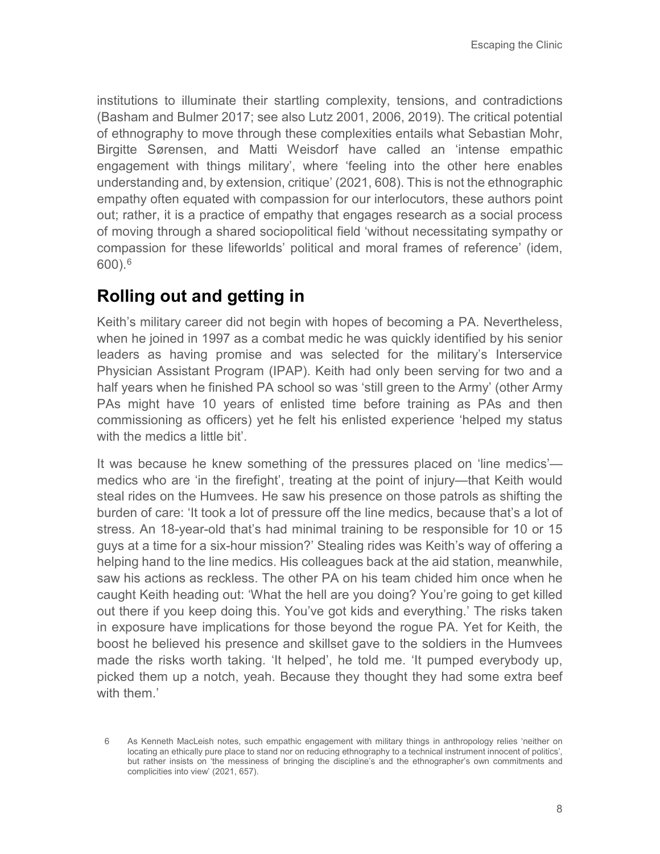institutions to illuminate their startling complexity, tensions, and contradictions (Basham and Bulmer 2017; see also Lutz 2001, 2006, 2019). The critical potential of ethnography to move through these complexities entails what Sebastian Mohr, Birgitte Sørensen, and Matti Weisdorf have called an 'intense empathic engagement with things military', where 'feeling into the other here enables understanding and, by extension, critique' (2021, 608). This is not the ethnographic empathy often equated with compassion for our interlocutors, these authors point out; rather, it is a practice of empathy that engages research as a social process of moving through a shared sociopolitical field 'without necessitating sympathy or compassion for these lifeworlds' political and moral frames of reference' (idem, 600).[6](#page-7-0)

# **Rolling out and getting in**

Keith's military career did not begin with hopes of becoming a PA. Nevertheless, when he joined in 1997 as a combat medic he was quickly identified by his senior leaders as having promise and was selected for the military's Interservice Physician Assistant Program (IPAP). Keith had only been serving for two and a half years when he finished PA school so was 'still green to the Army' (other Army PAs might have 10 years of enlisted time before training as PAs and then commissioning as officers) yet he felt his enlisted experience 'helped my status with the medics a little bit'.

It was because he knew something of the pressures placed on 'line medics' medics who are 'in the firefight', treating at the point of injury—that Keith would steal rides on the Humvees. He saw his presence on those patrols as shifting the burden of care: 'It took a lot of pressure off the line medics, because that's a lot of stress. An 18-year-old that's had minimal training to be responsible for 10 or 15 guys at a time for a six-hour mission?' Stealing rides was Keith's way of offering a helping hand to the line medics. His colleagues back at the aid station, meanwhile, saw his actions as reckless. The other PA on his team chided him once when he caught Keith heading out: 'What the hell are you doing? You're going to get killed out there if you keep doing this. You've got kids and everything.' The risks taken in exposure have implications for those beyond the rogue PA. Yet for Keith, the boost he believed his presence and skillset gave to the soldiers in the Humvees made the risks worth taking. 'It helped', he told me. 'It pumped everybody up, picked them up a notch, yeah. Because they thought they had some extra beef with them<sup>'</sup>

<span id="page-7-0"></span><sup>6</sup> As Kenneth MacLeish notes, such empathic engagement with military things in anthropology relies 'neither on locating an ethically pure place to stand nor on reducing ethnography to a technical instrument innocent of politics', but rather insists on 'the messiness of bringing the discipline's and the ethnographer's own commitments and complicities into view' (2021, 657).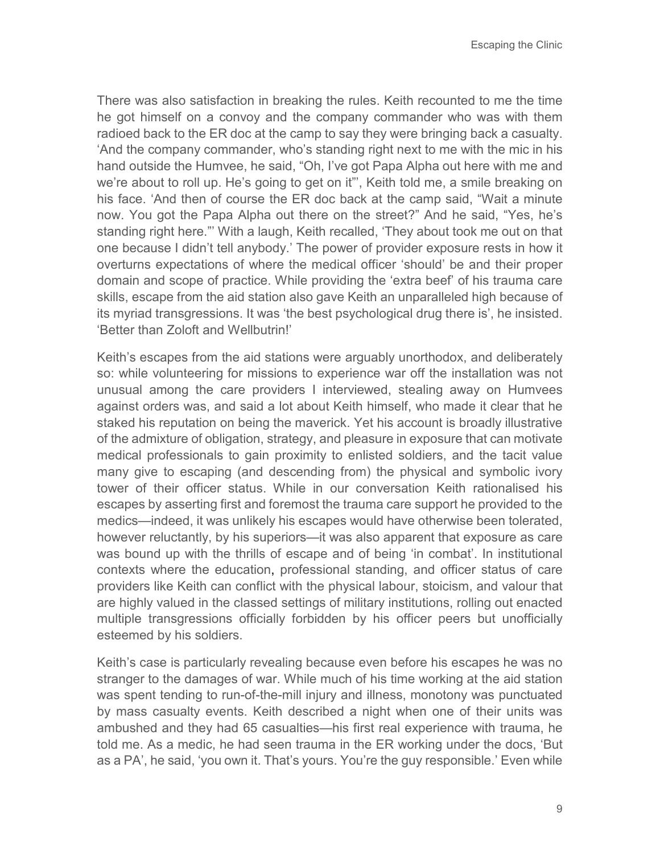There was also satisfaction in breaking the rules. Keith recounted to me the time he got himself on a convoy and the company commander who was with them radioed back to the ER doc at the camp to say they were bringing back a casualty. 'And the company commander, who's standing right next to me with the mic in his hand outside the Humvee, he said, "Oh, I've got Papa Alpha out here with me and we're about to roll up. He's going to get on it"', Keith told me, a smile breaking on his face. 'And then of course the ER doc back at the camp said, "Wait a minute now. You got the Papa Alpha out there on the street?" And he said, "Yes, he's standing right here."' With a laugh, Keith recalled, 'They about took me out on that one because I didn't tell anybody.' The power of provider exposure rests in how it overturns expectations of where the medical officer 'should' be and their proper domain and scope of practice. While providing the 'extra beef' of his trauma care skills, escape from the aid station also gave Keith an unparalleled high because of its myriad transgressions. It was 'the best psychological drug there is', he insisted. 'Better than Zoloft and Wellbutrin!'

Keith's escapes from the aid stations were arguably unorthodox, and deliberately so: while volunteering for missions to experience war off the installation was not unusual among the care providers I interviewed, stealing away on Humvees against orders was, and said a lot about Keith himself, who made it clear that he staked his reputation on being the maverick. Yet his account is broadly illustrative of the admixture of obligation, strategy, and pleasure in exposure that can motivate medical professionals to gain proximity to enlisted soldiers, and the tacit value many give to escaping (and descending from) the physical and symbolic ivory tower of their officer status. While in our conversation Keith rationalised his escapes by asserting first and foremost the trauma care support he provided to the medics—indeed, it was unlikely his escapes would have otherwise been tolerated, however reluctantly, by his superiors—it was also apparent that exposure as care was bound up with the thrills of escape and of being 'in combat'. In institutional contexts where the education, professional standing, and officer status of care providers like Keith can conflict with the physical labour, stoicism, and valour that are highly valued in the classed settings of military institutions, rolling out enacted multiple transgressions officially forbidden by his officer peers but unofficially esteemed by his soldiers.

Keith's case is particularly revealing because even before his escapes he was no stranger to the damages of war. While much of his time working at the aid station was spent tending to run-of-the-mill injury and illness, monotony was punctuated by mass casualty events. Keith described a night when one of their units was ambushed and they had 65 casualties—his first real experience with trauma, he told me. As a medic, he had seen trauma in the ER working under the docs, 'But as a PA', he said, 'you own it. That's yours. You're the guy responsible.' Even while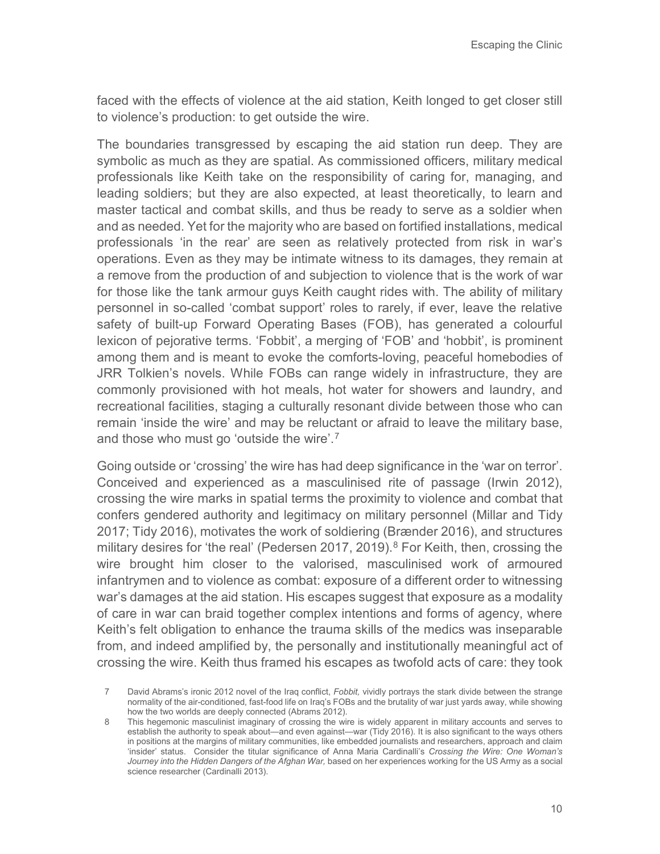faced with the effects of violence at the aid station, Keith longed to get closer still to violence's production: to get outside the wire.

The boundaries transgressed by escaping the aid station run deep. They are symbolic as much as they are spatial. As commissioned officers, military medical professionals like Keith take on the responsibility of caring for, managing, and leading soldiers; but they are also expected, at least theoretically, to learn and master tactical and combat skills, and thus be ready to serve as a soldier when and as needed. Yet for the majority who are based on fortified installations, medical professionals 'in the rear' are seen as relatively protected from risk in war's operations. Even as they may be intimate witness to its damages, they remain at a remove from the production of and subjection to violence that is the work of war for those like the tank armour guys Keith caught rides with. The ability of military personnel in so-called 'combat support' roles to rarely, if ever, leave the relative safety of built-up Forward Operating Bases (FOB), has generated a colourful lexicon of pejorative terms. 'Fobbit', a merging of 'FOB' and 'hobbit', is prominent among them and is meant to evoke the comforts-loving, peaceful homebodies of JRR Tolkien's novels. While FOBs can range widely in infrastructure, they are commonly provisioned with hot meals, hot water for showers and laundry, and recreational facilities, staging a culturally resonant divide between those who can remain 'inside the wire' and may be reluctant or afraid to leave the military base, and those who must go 'outside the wire'.[7](#page-9-0)

Going outside or 'crossing' the wire has had deep significance in the 'war on terror'. Conceived and experienced as a masculinised rite of passage (Irwin 2012), crossing the wire marks in spatial terms the proximity to violence and combat that confers gendered authority and legitimacy on military personnel (Millar and Tidy 2017; Tidy 2016), motivates the work of soldiering (Brænder 2016), and structures military desires for 'the real' (Pedersen 2017, 2019).<sup>[8](#page-9-1)</sup> For Keith, then, crossing the wire brought him closer to the valorised, masculinised work of armoured infantrymen and to violence as combat: exposure of a different order to witnessing war's damages at the aid station. His escapes suggest that exposure as a modality of care in war can braid together complex intentions and forms of agency, where Keith's felt obligation to enhance the trauma skills of the medics was inseparable from, and indeed amplified by, the personally and institutionally meaningful act of crossing the wire. Keith thus framed his escapes as twofold acts of care: they took

<span id="page-9-0"></span><sup>7</sup> David Abrams's ironic 2012 novel of the Iraq conflict, *Fobbit,* vividly portrays the stark divide between the strange normality of the air-conditioned, fast-food life on Iraq's FOBs and the brutality of war just yards away, while showing how the two worlds are deeply connected (Abrams 2012).

<span id="page-9-1"></span><sup>8</sup> This hegemonic masculinist imaginary of crossing the wire is widely apparent in military accounts and serves to establish the authority to speak about—and even against—war (Tidy 2016). It is also significant to the ways others in positions at the margins of military communities, like embedded journalists and researchers, approach and claim 'insider' status. Consider the titular significance of Anna Maria Cardinalli's *Crossing the Wire: One Woman's Journey into the Hidden Dangers of the Afghan War, based on her experiences working for the US Army as a social* science researcher (Cardinalli 2013).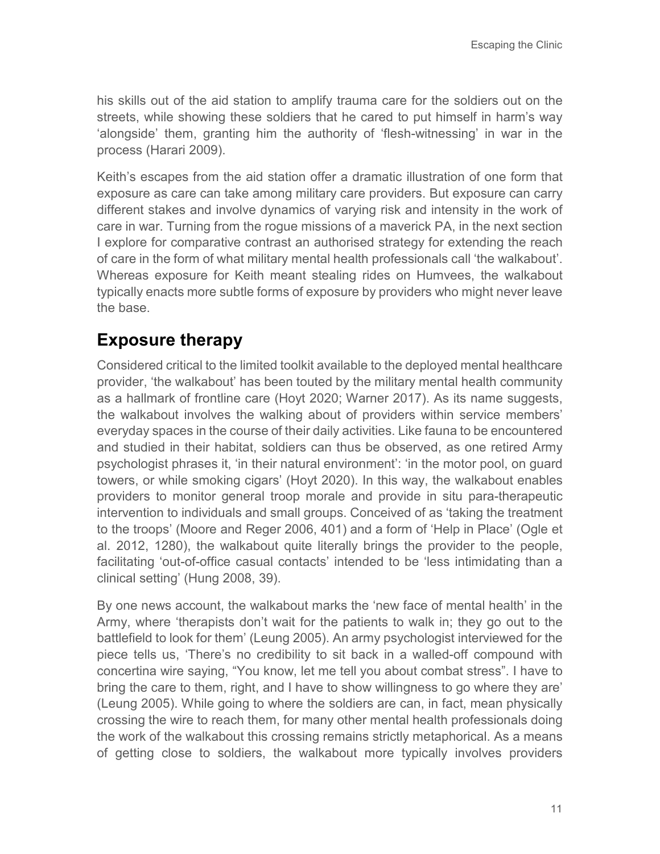his skills out of the aid station to amplify trauma care for the soldiers out on the streets, while showing these soldiers that he cared to put himself in harm's way 'alongside' them, granting him the authority of 'flesh-witnessing' in war in the process (Harari 2009).

Keith's escapes from the aid station offer a dramatic illustration of one form that exposure as care can take among military care providers. But exposure can carry different stakes and involve dynamics of varying risk and intensity in the work of care in war. Turning from the rogue missions of a maverick PA, in the next section I explore for comparative contrast an authorised strategy for extending the reach of care in the form of what military mental health professionals call 'the walkabout'. Whereas exposure for Keith meant stealing rides on Humvees, the walkabout typically enacts more subtle forms of exposure by providers who might never leave the base.

### **Exposure therapy**

Considered critical to the limited toolkit available to the deployed mental healthcare provider, 'the walkabout' has been touted by the military mental health community as a hallmark of frontline care (Hoyt 2020; Warner 2017). As its name suggests, the walkabout involves the walking about of providers within service members' everyday spaces in the course of their daily activities. Like fauna to be encountered and studied in their habitat, soldiers can thus be observed, as one retired Army psychologist phrases it, 'in their natural environment': 'in the motor pool, on guard towers, or while smoking cigars' (Hoyt 2020). In this way, the walkabout enables providers to monitor general troop morale and provide in situ para-therapeutic intervention to individuals and small groups. Conceived of as 'taking the treatment to the troops' (Moore and Reger 2006, 401) and a form of 'Help in Place' (Ogle et al. 2012, 1280), the walkabout quite literally brings the provider to the people, facilitating 'out-of-office casual contacts' intended to be 'less intimidating than a clinical setting' (Hung 2008, 39).

By one news account, the walkabout marks the 'new face of mental health' in the Army, where 'therapists don't wait for the patients to walk in; they go out to the battlefield to look for them' (Leung 2005). An army psychologist interviewed for the piece tells us, 'There's no credibility to sit back in a walled-off compound with concertina wire saying, "You know, let me tell you about combat stress". I have to bring the care to them, right, and I have to show willingness to go where they are' (Leung 2005). While going to where the soldiers are can, in fact, mean physically crossing the wire to reach them, for many other mental health professionals doing the work of the walkabout this crossing remains strictly metaphorical. As a means of getting close to soldiers, the walkabout more typically involves providers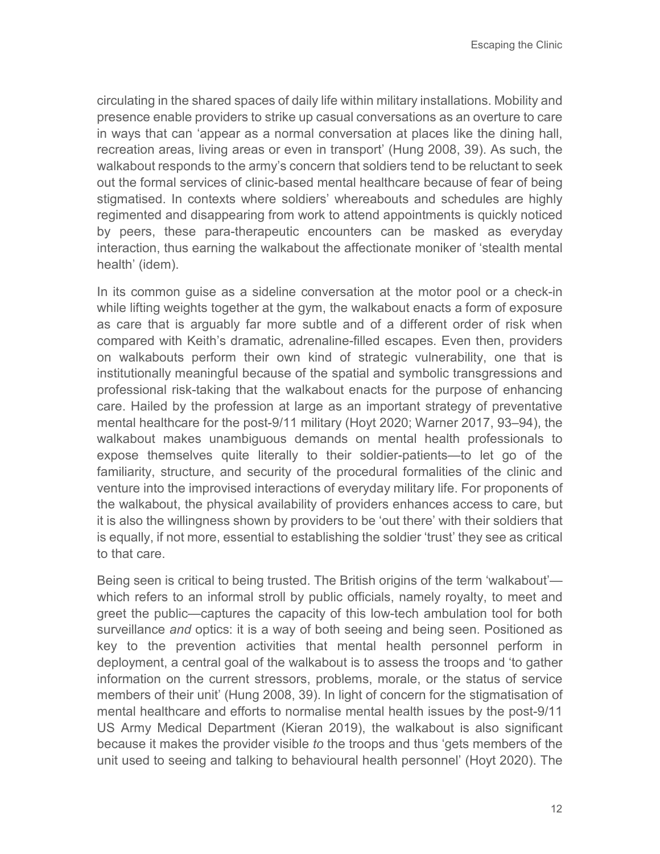circulating in the shared spaces of daily life within military installations. Mobility and presence enable providers to strike up casual conversations as an overture to care in ways that can 'appear as a normal conversation at places like the dining hall, recreation areas, living areas or even in transport' (Hung 2008, 39). As such, the walkabout responds to the army's concern that soldiers tend to be reluctant to seek out the formal services of clinic-based mental healthcare because of fear of being stigmatised. In contexts where soldiers' whereabouts and schedules are highly regimented and disappearing from work to attend appointments is quickly noticed by peers, these para-therapeutic encounters can be masked as everyday interaction, thus earning the walkabout the affectionate moniker of 'stealth mental health' (idem).

In its common guise as a sideline conversation at the motor pool or a check-in while lifting weights together at the gym, the walkabout enacts a form of exposure as care that is arguably far more subtle and of a different order of risk when compared with Keith's dramatic, adrenaline-filled escapes. Even then, providers on walkabouts perform their own kind of strategic vulnerability, one that is institutionally meaningful because of the spatial and symbolic transgressions and professional risk-taking that the walkabout enacts for the purpose of enhancing care. Hailed by the profession at large as an important strategy of preventative mental healthcare for the post-9/11 military (Hoyt 2020; Warner 2017, 93–94), the walkabout makes unambiguous demands on mental health professionals to expose themselves quite literally to their soldier-patients—to let go of the familiarity, structure, and security of the procedural formalities of the clinic and venture into the improvised interactions of everyday military life. For proponents of the walkabout, the physical availability of providers enhances access to care, but it is also the willingness shown by providers to be 'out there' with their soldiers that is equally, if not more, essential to establishing the soldier 'trust' they see as critical to that care.

Being seen is critical to being trusted. The British origins of the term 'walkabout' which refers to an informal stroll by public officials, namely royalty, to meet and greet the public—captures the capacity of this low-tech ambulation tool for both surveillance *and* optics: it is a way of both seeing and being seen. Positioned as key to the prevention activities that mental health personnel perform in deployment, a central goal of the walkabout is to assess the troops and 'to gather information on the current stressors, problems, morale, or the status of service members of their unit' (Hung 2008, 39). In light of concern for the stigmatisation of mental healthcare and efforts to normalise mental health issues by the post-9/11 US Army Medical Department (Kieran 2019), the walkabout is also significant because it makes the provider visible *to* the troops and thus 'gets members of the unit used to seeing and talking to behavioural health personnel' (Hoyt 2020). The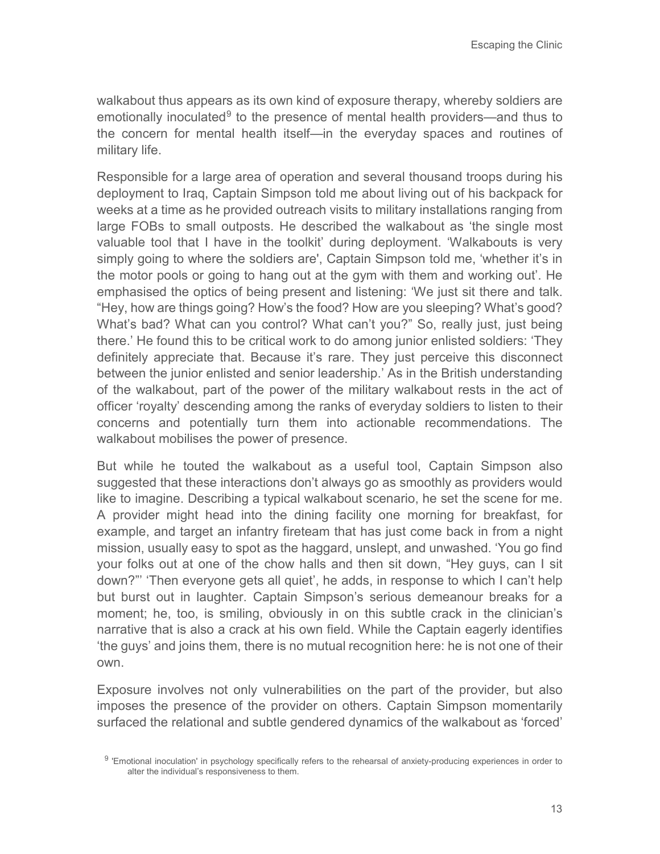walkabout thus appears as its own kind of exposure therapy, whereby soldiers are emotionally inoculated<sup>[9](#page-12-0)</sup> to the presence of mental health providers—and thus to the concern for mental health itself—in the everyday spaces and routines of military life.

Responsible for a large area of operation and several thousand troops during his deployment to Iraq, Captain Simpson told me about living out of his backpack for weeks at a time as he provided outreach visits to military installations ranging from large FOBs to small outposts. He described the walkabout as 'the single most valuable tool that I have in the toolkit' during deployment. 'Walkabouts is very simply going to where the soldiers are', Captain Simpson told me, 'whether it's in the motor pools or going to hang out at the gym with them and working out'. He emphasised the optics of being present and listening: 'We just sit there and talk. "Hey, how are things going? How's the food? How are you sleeping? What's good? What's bad? What can you control? What can't you?" So, really just, just being there.' He found this to be critical work to do among junior enlisted soldiers: 'They definitely appreciate that. Because it's rare. They just perceive this disconnect between the junior enlisted and senior leadership.' As in the British understanding of the walkabout, part of the power of the military walkabout rests in the act of officer 'royalty' descending among the ranks of everyday soldiers to listen to their concerns and potentially turn them into actionable recommendations. The walkabout mobilises the power of presence.

But while he touted the walkabout as a useful tool, Captain Simpson also suggested that these interactions don't always go as smoothly as providers would like to imagine. Describing a typical walkabout scenario, he set the scene for me. A provider might head into the dining facility one morning for breakfast, for example, and target an infantry fireteam that has just come back in from a night mission, usually easy to spot as the haggard, unslept, and unwashed. 'You go find your folks out at one of the chow halls and then sit down, "Hey guys, can I sit down?"' 'Then everyone gets all quiet', he adds, in response to which I can't help but burst out in laughter. Captain Simpson's serious demeanour breaks for a moment; he, too, is smiling, obviously in on this subtle crack in the clinician's narrative that is also a crack at his own field. While the Captain eagerly identifies 'the guys' and joins them, there is no mutual recognition here: he is not one of their own.

Exposure involves not only vulnerabilities on the part of the provider, but also imposes the presence of the provider on others. Captain Simpson momentarily surfaced the relational and subtle gendered dynamics of the walkabout as 'forced'

<span id="page-12-0"></span><sup>9 &#</sup>x27;Emotional inoculation' in psychology specifically refers to the rehearsal of anxiety-producing experiences in order to alter the individual's responsiveness to them.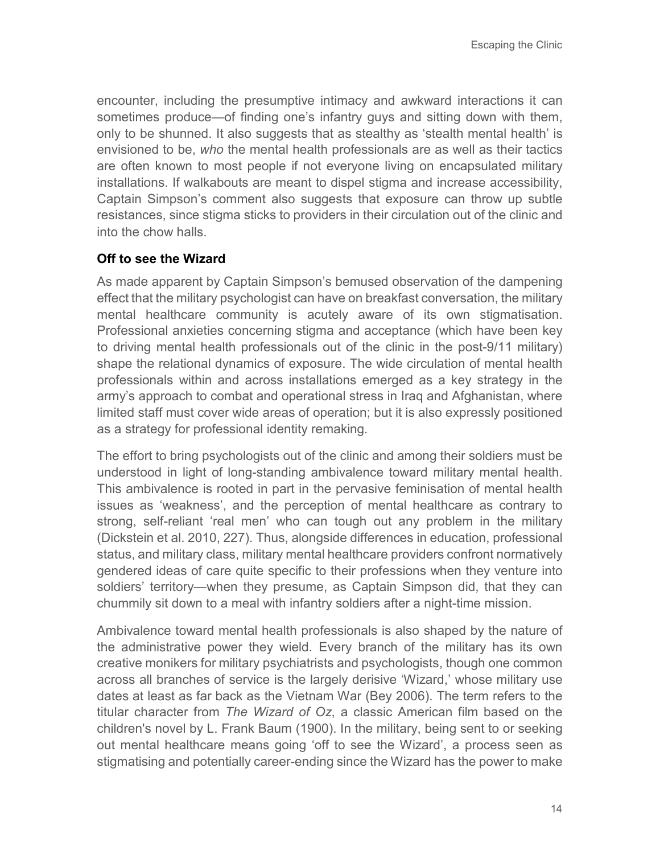encounter, including the presumptive intimacy and awkward interactions it can sometimes produce—of finding one's infantry guys and sitting down with them, only to be shunned. It also suggests that as stealthy as 'stealth mental health' is envisioned to be, *who* the mental health professionals are as well as their tactics are often known to most people if not everyone living on encapsulated military installations. If walkabouts are meant to dispel stigma and increase accessibility, Captain Simpson's comment also suggests that exposure can throw up subtle resistances, since stigma sticks to providers in their circulation out of the clinic and into the chow halls.

#### **Off to see the Wizard**

As made apparent by Captain Simpson's bemused observation of the dampening effect that the military psychologist can have on breakfast conversation, the military mental healthcare community is acutely aware of its own stigmatisation. Professional anxieties concerning stigma and acceptance (which have been key to driving mental health professionals out of the clinic in the post-9/11 military) shape the relational dynamics of exposure. The wide circulation of mental health professionals within and across installations emerged as a key strategy in the army's approach to combat and operational stress in Iraq and Afghanistan, where limited staff must cover wide areas of operation; but it is also expressly positioned as a strategy for professional identity remaking.

The effort to bring psychologists out of the clinic and among their soldiers must be understood in light of long-standing ambivalence toward military mental health. This ambivalence is rooted in part in the pervasive feminisation of mental health issues as 'weakness', and the perception of mental healthcare as contrary to strong, self-reliant 'real men' who can tough out any problem in the military (Dickstein et al. 2010, 227). Thus, alongside differences in education, professional status, and military class, military mental healthcare providers confront normatively gendered ideas of care quite specific to their professions when they venture into soldiers' territory—when they presume, as Captain Simpson did, that they can chummily sit down to a meal with infantry soldiers after a night-time mission.

Ambivalence toward mental health professionals is also shaped by the nature of the administrative power they wield. Every branch of the military has its own creative monikers for military psychiatrists and psychologists, though one common across all branches of service is the largely derisive 'Wizard,' whose military use dates at least as far back as the Vietnam War (Bey 2006). The term refers to the titular character from *The Wizard of Oz*, a classic American film based on the children's novel by L. Frank Baum (1900). In the military, being sent to or seeking out mental healthcare means going 'off to see the Wizard', a process seen as stigmatising and potentially career-ending since the Wizard has the power to make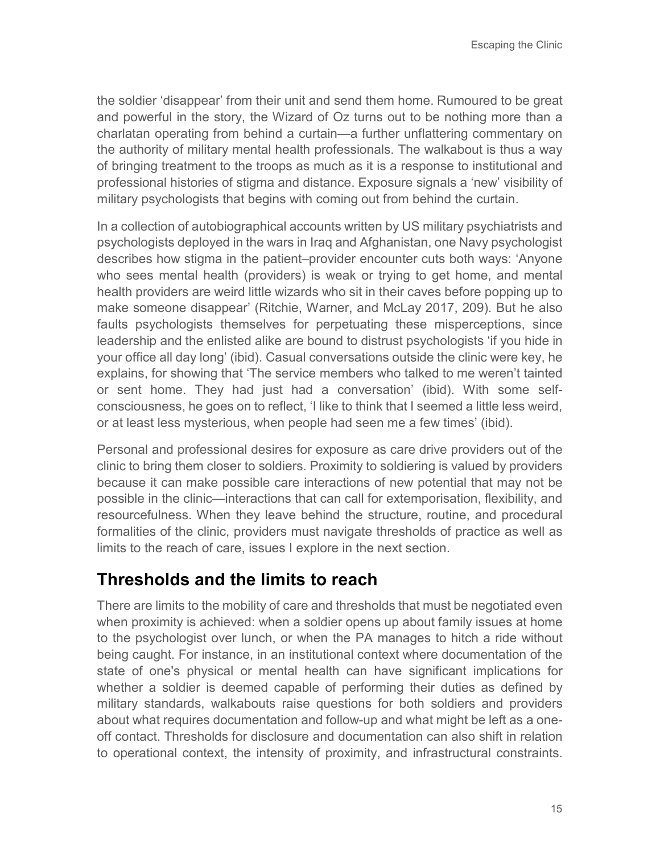the soldier 'disappear' from their unit and send them home. Rumoured to be great and powerful in the story, the Wizard of Oz turns out to be nothing more than a charlatan operating from behind a curtain—a further unflattering commentary on the authority of military mental health professionals. The walkabout is thus a way of bringing treatment to the troops as much as it is a response to institutional and professional histories of stigma and distance. Exposure signals a 'new' visibility of military psychologists that begins with coming out from behind the curtain.

In a collection of autobiographical accounts written by US military psychiatrists and psychologists deployed in the wars in Iraq and Afghanistan, one Navy psychologist describes how stigma in the patient–provider encounter cuts both ways: 'Anyone who sees mental health (providers) is weak or trying to get home, and mental health providers are weird little wizards who sit in their caves before popping up to make someone disappear' (Ritchie, Warner, and McLay 2017, 209). But he also faults psychologists themselves for perpetuating these misperceptions, since leadership and the enlisted alike are bound to distrust psychologists 'if you hide in your office all day long' (ibid). Casual conversations outside the clinic were key, he explains, for showing that 'The service members who talked to me weren't tainted or sent home. They had just had a conversation' (ibid). With some selfconsciousness, he goes on to reflect, 'I like to think that I seemed a little less weird, or at least less mysterious, when people had seen me a few times' (ibid).

Personal and professional desires for exposure as care drive providers out of the clinic to bring them closer to soldiers. Proximity to soldiering is valued by providers because it can make possible care interactions of new potential that may not be possible in the clinic—interactions that can call for extemporisation, flexibility, and resourcefulness. When they leave behind the structure, routine, and procedural formalities of the clinic, providers must navigate thresholds of practice as well as limits to the reach of care, issues I explore in the next section.

#### **Thresholds and the limits to reach**

There are limits to the mobility of care and thresholds that must be negotiated even when proximity is achieved: when a soldier opens up about family issues at home to the psychologist over lunch, or when the PA manages to hitch a ride without being caught. For instance, in an institutional context where documentation of the state of one's physical or mental health can have significant implications for whether a soldier is deemed capable of performing their duties as defined by military standards, walkabouts raise questions for both soldiers and providers about what requires documentation and follow-up and what might be left as a oneoff contact. Thresholds for disclosure and documentation can also shift in relation to operational context, the intensity of proximity, and infrastructural constraints.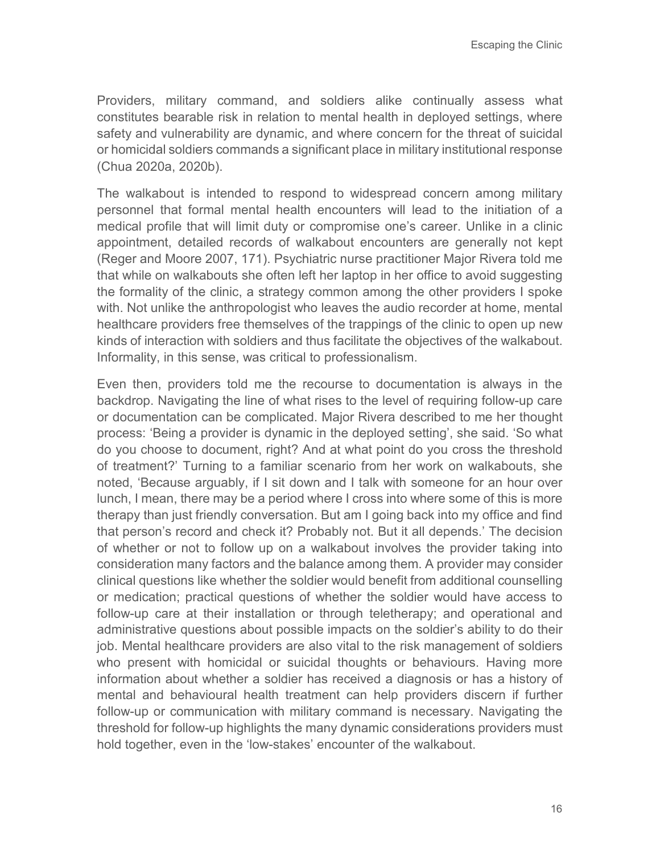Providers, military command, and soldiers alike continually assess what constitutes bearable risk in relation to mental health in deployed settings, where safety and vulnerability are dynamic, and where concern for the threat of suicidal or homicidal soldiers commands a significant place in military institutional response (Chua 2020a, 2020b).

The walkabout is intended to respond to widespread concern among military personnel that formal mental health encounters will lead to the initiation of a medical profile that will limit duty or compromise one's career. Unlike in a clinic appointment, detailed records of walkabout encounters are generally not kept (Reger and Moore 2007, 171). Psychiatric nurse practitioner Major Rivera told me that while on walkabouts she often left her laptop in her office to avoid suggesting the formality of the clinic, a strategy common among the other providers I spoke with. Not unlike the anthropologist who leaves the audio recorder at home, mental healthcare providers free themselves of the trappings of the clinic to open up new kinds of interaction with soldiers and thus facilitate the objectives of the walkabout. Informality, in this sense, was critical to professionalism.

Even then, providers told me the recourse to documentation is always in the backdrop. Navigating the line of what rises to the level of requiring follow-up care or documentation can be complicated. Major Rivera described to me her thought process: 'Being a provider is dynamic in the deployed setting', she said. 'So what do you choose to document, right? And at what point do you cross the threshold of treatment?' Turning to a familiar scenario from her work on walkabouts, she noted, 'Because arguably, if I sit down and I talk with someone for an hour over lunch, I mean, there may be a period where I cross into where some of this is more therapy than just friendly conversation. But am I going back into my office and find that person's record and check it? Probably not. But it all depends.' The decision of whether or not to follow up on a walkabout involves the provider taking into consideration many factors and the balance among them. A provider may consider clinical questions like whether the soldier would benefit from additional counselling or medication; practical questions of whether the soldier would have access to follow-up care at their installation or through teletherapy; and operational and administrative questions about possible impacts on the soldier's ability to do their job. Mental healthcare providers are also vital to the risk management of soldiers who present with homicidal or suicidal thoughts or behaviours. Having more information about whether a soldier has received a diagnosis or has a history of mental and behavioural health treatment can help providers discern if further follow-up or communication with military command is necessary. Navigating the threshold for follow-up highlights the many dynamic considerations providers must hold together, even in the 'low-stakes' encounter of the walkabout.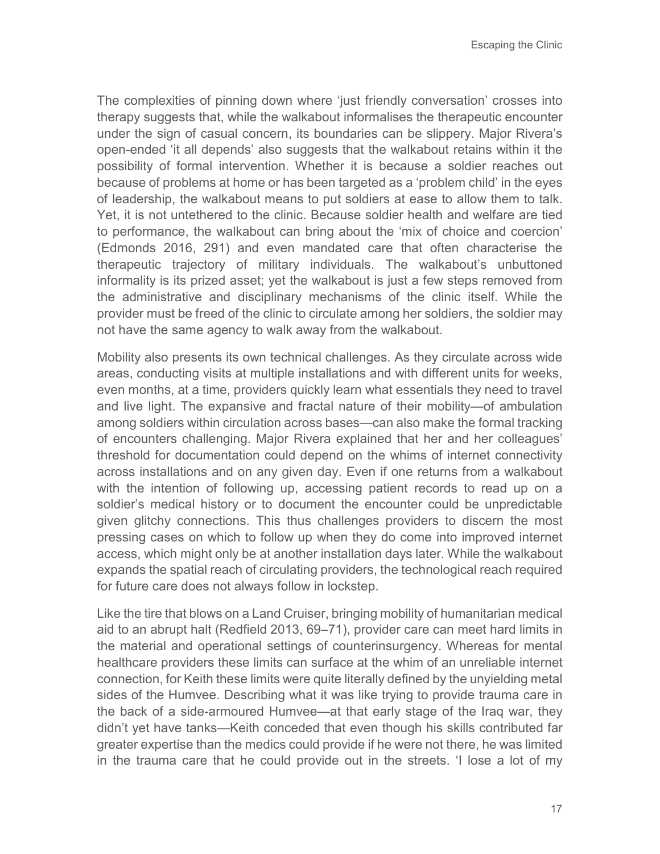The complexities of pinning down where 'just friendly conversation' crosses into therapy suggests that, while the walkabout informalises the therapeutic encounter under the sign of casual concern, its boundaries can be slippery. Major Rivera's open-ended 'it all depends' also suggests that the walkabout retains within it the possibility of formal intervention. Whether it is because a soldier reaches out because of problems at home or has been targeted as a 'problem child' in the eyes of leadership, the walkabout means to put soldiers at ease to allow them to talk. Yet, it is not untethered to the clinic. Because soldier health and welfare are tied to performance, the walkabout can bring about the 'mix of choice and coercion' (Edmonds 2016, 291) and even mandated care that often characterise the therapeutic trajectory of military individuals. The walkabout's unbuttoned informality is its prized asset; yet the walkabout is just a few steps removed from the administrative and disciplinary mechanisms of the clinic itself. While the provider must be freed of the clinic to circulate among her soldiers, the soldier may not have the same agency to walk away from the walkabout.

Mobility also presents its own technical challenges. As they circulate across wide areas, conducting visits at multiple installations and with different units for weeks, even months, at a time, providers quickly learn what essentials they need to travel and live light. The expansive and fractal nature of their mobility—of ambulation among soldiers within circulation across bases—can also make the formal tracking of encounters challenging. Major Rivera explained that her and her colleagues' threshold for documentation could depend on the whims of internet connectivity across installations and on any given day. Even if one returns from a walkabout with the intention of following up, accessing patient records to read up on a soldier's medical history or to document the encounter could be unpredictable given glitchy connections. This thus challenges providers to discern the most pressing cases on which to follow up when they do come into improved internet access, which might only be at another installation days later. While the walkabout expands the spatial reach of circulating providers, the technological reach required for future care does not always follow in lockstep.

Like the tire that blows on a Land Cruiser, bringing mobility of humanitarian medical aid to an abrupt halt (Redfield 2013, 69–71), provider care can meet hard limits in the material and operational settings of counterinsurgency. Whereas for mental healthcare providers these limits can surface at the whim of an unreliable internet connection, for Keith these limits were quite literally defined by the unyielding metal sides of the Humvee. Describing what it was like trying to provide trauma care in the back of a side-armoured Humvee—at that early stage of the Iraq war, they didn't yet have tanks—Keith conceded that even though his skills contributed far greater expertise than the medics could provide if he were not there, he was limited in the trauma care that he could provide out in the streets. 'I lose a lot of my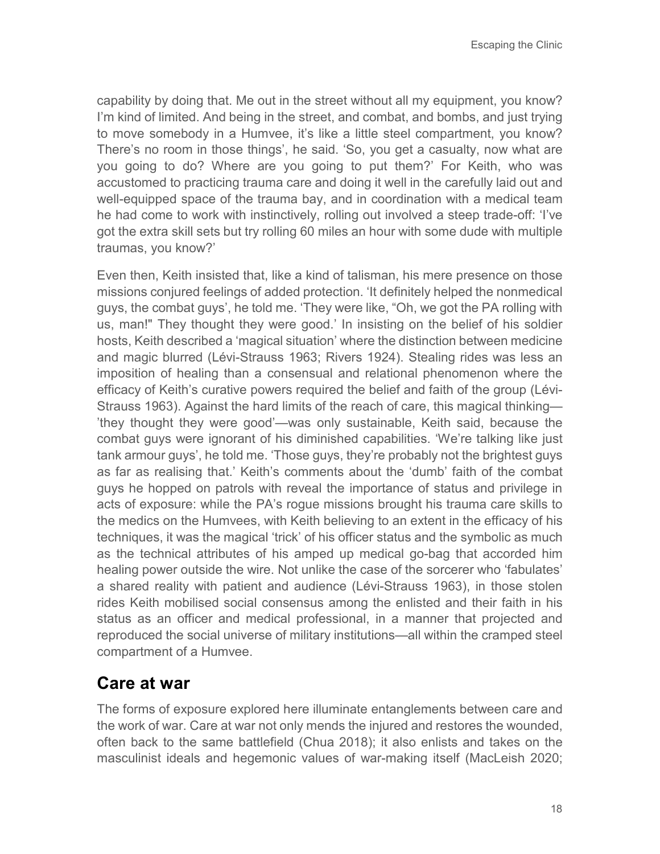capability by doing that. Me out in the street without all my equipment, you know? I'm kind of limited. And being in the street, and combat, and bombs, and just trying to move somebody in a Humvee, it's like a little steel compartment, you know? There's no room in those things', he said. 'So, you get a casualty, now what are you going to do? Where are you going to put them?' For Keith, who was accustomed to practicing trauma care and doing it well in the carefully laid out and well-equipped space of the trauma bay, and in coordination with a medical team he had come to work with instinctively, rolling out involved a steep trade-off: 'I've got the extra skill sets but try rolling 60 miles an hour with some dude with multiple traumas, you know?'

Even then, Keith insisted that, like a kind of talisman, his mere presence on those missions conjured feelings of added protection. 'It definitely helped the nonmedical guys, the combat guys', he told me. 'They were like, "Oh, we got the PA rolling with us, man!" They thought they were good.' In insisting on the belief of his soldier hosts, Keith described a 'magical situation' where the distinction between medicine and magic blurred (Lévi-Strauss 1963; Rivers 1924). Stealing rides was less an imposition of healing than a consensual and relational phenomenon where the efficacy of Keith's curative powers required the belief and faith of the group (Lévi-Strauss 1963). Against the hard limits of the reach of care, this magical thinking— 'they thought they were good'—was only sustainable, Keith said, because the combat guys were ignorant of his diminished capabilities. 'We're talking like just tank armour guys', he told me. 'Those guys, they're probably not the brightest guys as far as realising that.' Keith's comments about the 'dumb' faith of the combat guys he hopped on patrols with reveal the importance of status and privilege in acts of exposure: while the PA's rogue missions brought his trauma care skills to the medics on the Humvees, with Keith believing to an extent in the efficacy of his techniques, it was the magical 'trick' of his officer status and the symbolic as much as the technical attributes of his amped up medical go-bag that accorded him healing power outside the wire. Not unlike the case of the sorcerer who 'fabulates' a shared reality with patient and audience (Lévi-Strauss 1963), in those stolen rides Keith mobilised social consensus among the enlisted and their faith in his status as an officer and medical professional, in a manner that projected and reproduced the social universe of military institutions—all within the cramped steel compartment of a Humvee.

#### **Care at war**

The forms of exposure explored here illuminate entanglements between care and the work of war. Care at war not only mends the injured and restores the wounded, often back to the same battlefield (Chua 2018); it also enlists and takes on the masculinist ideals and hegemonic values of war-making itself (MacLeish 2020;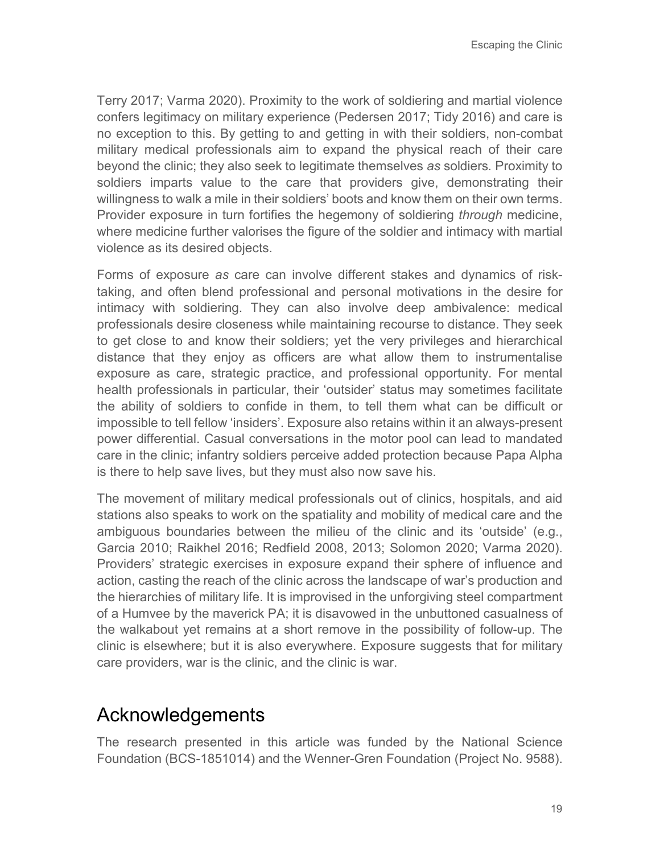Terry 2017; Varma 2020). Proximity to the work of soldiering and martial violence confers legitimacy on military experience (Pedersen 2017; Tidy 2016) and care is no exception to this. By getting to and getting in with their soldiers, non-combat military medical professionals aim to expand the physical reach of their care beyond the clinic; they also seek to legitimate themselves *as* soldiers*.* Proximity to soldiers imparts value to the care that providers give, demonstrating their willingness to walk a mile in their soldiers' boots and know them on their own terms. Provider exposure in turn fortifies the hegemony of soldiering *through* medicine, where medicine further valorises the figure of the soldier and intimacy with martial violence as its desired objects.

Forms of exposure *as* care can involve different stakes and dynamics of risktaking, and often blend professional and personal motivations in the desire for intimacy with soldiering. They can also involve deep ambivalence: medical professionals desire closeness while maintaining recourse to distance. They seek to get close to and know their soldiers; yet the very privileges and hierarchical distance that they enjoy as officers are what allow them to instrumentalise exposure as care, strategic practice, and professional opportunity. For mental health professionals in particular, their 'outsider' status may sometimes facilitate the ability of soldiers to confide in them, to tell them what can be difficult or impossible to tell fellow 'insiders'. Exposure also retains within it an always-present power differential. Casual conversations in the motor pool can lead to mandated care in the clinic; infantry soldiers perceive added protection because Papa Alpha is there to help save lives, but they must also now save his.

The movement of military medical professionals out of clinics, hospitals, and aid stations also speaks to work on the spatiality and mobility of medical care and the ambiguous boundaries between the milieu of the clinic and its 'outside' (e.g., Garcia 2010; Raikhel 2016; Redfield 2008, 2013; Solomon 2020; Varma 2020). Providers' strategic exercises in exposure expand their sphere of influence and action, casting the reach of the clinic across the landscape of war's production and the hierarchies of military life. It is improvised in the unforgiving steel compartment of a Humvee by the maverick PA; it is disavowed in the unbuttoned casualness of the walkabout yet remains at a short remove in the possibility of follow-up. The clinic is elsewhere; but it is also everywhere. Exposure suggests that for military care providers, war is the clinic, and the clinic is war.

# **Acknowledgements**

The research presented in this article was funded by the National Science Foundation (BCS-1851014) and the Wenner-Gren Foundation (Project No. 9588).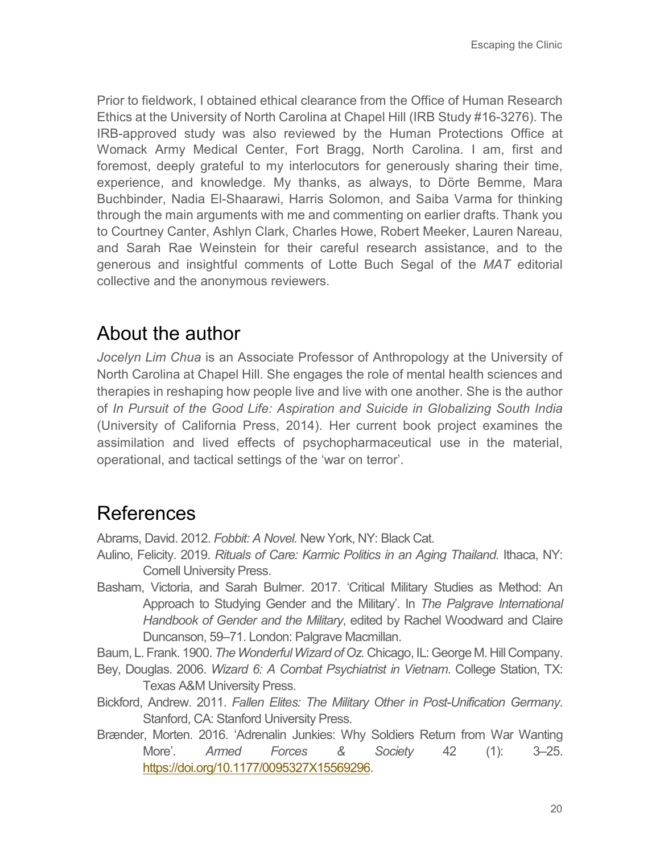Prior to fieldwork, I obtained ethical clearance from the Office of Human Research Ethics at the University of North Carolina at Chapel Hill (IRB Study #16-3276). The IRB-approved study was also reviewed by the Human Protections Office at Womack Army Medical Center, Fort Bragg, North Carolina. I am, first and foremost, deeply grateful to my interlocutors for generously sharing their time, experience, and knowledge. My thanks, as always, to Dörte Bemme, Mara Buchbinder, Nadia El-Shaarawi, Harris Solomon, and Saiba Varma for thinking through the main arguments with me and commenting on earlier drafts. Thank you to Courtney Canter, Ashlyn Clark, Charles Howe, Robert Meeker, Lauren Nareau, and Sarah Rae Weinstein for their careful research assistance, and to the generous and insightful comments of Lotte Buch Segal of the *MAT* editorial collective and the anonymous reviewers.

# About the author

*Jocelyn Lim Chua* is an Associate Professor of Anthropology at the University of North Carolina at Chapel Hill. She engages the role of mental health sciences and therapies in reshaping how people live and live with one another. She is the author of *In Pursuit of the Good Life: Aspiration and Suicide in Globalizing South India*  (University of California Press, 2014). Her current book project examines the assimilation and lived effects of psychopharmaceutical use in the material, operational, and tactical settings of the 'war on terror'.

# References

Abrams, David. 2012. *Fobbit: A Novel.* New York, NY: Black Cat.

- Aulino, Felicity. 2019. *Rituals of Care: Karmic Politics in an Aging Thailand.* Ithaca, NY: Cornell University Press.
- Basham, Victoria, and Sarah Bulmer. 2017. 'Critical Military Studies as Method: An Approach to Studying Gender and the Military'. In *The Palgrave International Handbook of Gender and the Military*, edited by Rachel Woodward and Claire Duncanson, 59–71. London: Palgrave Macmillan.

Baum, L. Frank. 1900. *The Wonderful Wizard of Oz.* Chicago, IL: George M. Hill Company.

- Bey, Douglas. 2006. *Wizard 6: A Combat Psychiatrist in Vietnam*. College Station, TX: Texas A&M University Press.
- Bickford, Andrew. 2011. *Fallen Elites: The Military Other in Post-Unification Germany*. Stanford, CA: Stanford University Press.
- Brænder, Morten. 2016. 'Adrenalin Junkies: Why Soldiers Return from War Wanting More'. *Armed Forces & Society* 42 (1): 3–25. [https://doi.org/10.1177/0095327X15569296.](https://doi.org/10.1177/0095327X15569296)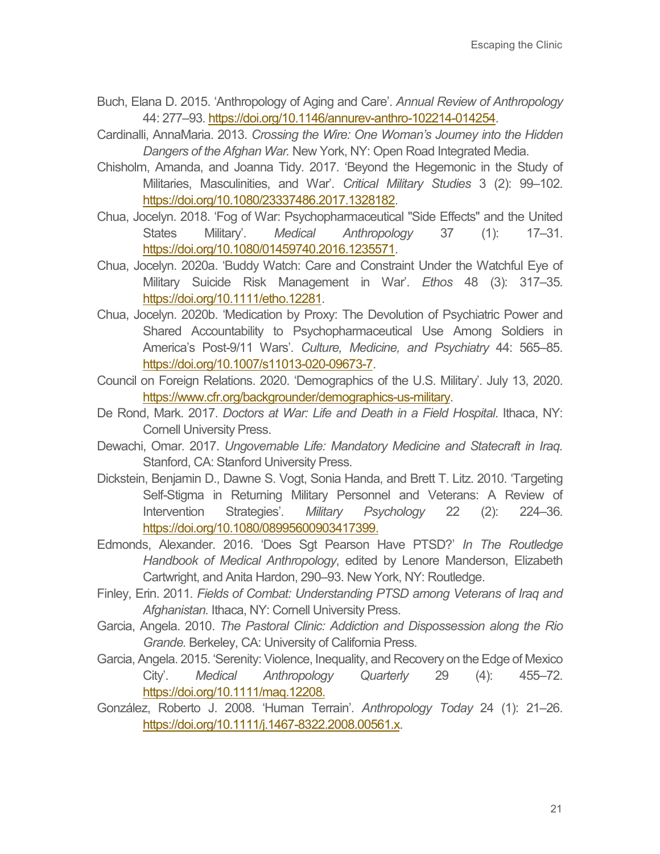- Buch, Elana D. 2015. 'Anthropology of Aging and Care'. *Annual Review of Anthropology*  44: 277–93[. https://doi.org/10.1146/annurev-anthro-102214-014254.](https://doi.org/10.1146/annurev-anthro-102214-014254)
- Cardinalli, AnnaMaria. 2013. *Crossing the Wire: One Woman's Journey into the Hidden Dangers of the Afghan War.* New York, NY: Open Road Integrated Media.
- Chisholm, Amanda, and Joanna Tidy. 2017. 'Beyond the Hegemonic in the Study of Militaries, Masculinities, and War'. *Critical Military Studies* 3 (2): 99–102. [https://doi.org/10.1080/23337486.2017.1328182.](https://doi.org/10.1080/23337486.2017.1328182)
- Chua, Jocelyn. 2018. 'Fog of War: Psychopharmaceutical "Side Effects" and the United States Military'. *Medical Anthropology* 37 (1): 17–31. [https://doi.org/10.1080/01459740.2016.1235571.](https://doi.org/10.1080/01459740.2016.1235571)
- Chua, Jocelyn. 2020a. 'Buddy Watch: Care and Constraint Under the Watchful Eye of Military Suicide Risk Management in War'. *Ethos* 48 (3): 317–35. [https://doi.org/10.1111/etho.12281.](https://doi.org/10.1111/etho.12281)
- Chua, Jocelyn. 2020b. 'Medication by Proxy: The Devolution of Psychiatric Power and Shared Accountability to Psychopharmaceutical Use Among Soldiers in America's Post-9/11 Wars'. *Culture, Medicine, and Psychiatry* 44: 565–85. [https://doi.org/10.1007/s11013-020-09673-7.](https://doi.org/10.1007/s11013-020-09673-7)
- Council on Foreign Relations. 2020. 'Demographics of the U.S. Military'. July 13, 2020. [https://www.cfr.org/backgrounder/demographics-us-military.](https://www.cfr.org/backgrounder/demographics-us-military)
- De Rond, Mark. 2017. *Doctors at War: Life and Death in a Field Hospital*. Ithaca, NY: Cornell University Press.
- Dewachi, Omar. 2017. *Ungovernable Life: Mandatory Medicine and Statecraft in Iraq.* Stanford, CA: Stanford University Press.
- Dickstein, Benjamin D., Dawne S. Vogt, Sonia Handa, and Brett T. Litz. 2010. 'Targeting Self-Stigma in Returning Military Personnel and Veterans: A Review of Intervention Strategies'. *Military Psychology* 22 (2): 224–36. [https://doi.org/10.1080/08995600903417399.](https://doi.org/10.1080/08995600903417399)
- Edmonds, Alexander. 2016. 'Does Sgt Pearson Have PTSD?' *In The Routledge Handbook of Medical Anthropology*, edited by Lenore Manderson, Elizabeth Cartwright, and Anita Hardon, 290–93. New York, NY: Routledge.
- Finley, Erin. 2011*. Fields of Combat: Understanding PTSD among Veterans of Iraq and Afghanistan.* Ithaca, NY: Cornell University Press.
- Garcia, Angela. 2010. *The Pastoral Clinic: Addiction and Dispossession along the Rio Grande.* Berkeley, CA: University of California Press.
- Garcia, Angela. 2015. 'Serenity: Violence, Inequality, and Recovery on the Edge of Mexico City'. *Medical Anthropology Quarterly* 29 (4): 455–72. [https://doi.org/10.1111/maq.12208.](https://doi.org/10.1111/maq.12208)
- González, Roberto J. 2008. 'Human Terrain'. *Anthropology Today* 24 (1): 21–26. [https://doi.org/10.1111/j.1467-8322.2008.00561.x.](https://doi.org/10.1111/j.1467-8322.2008.00561.x)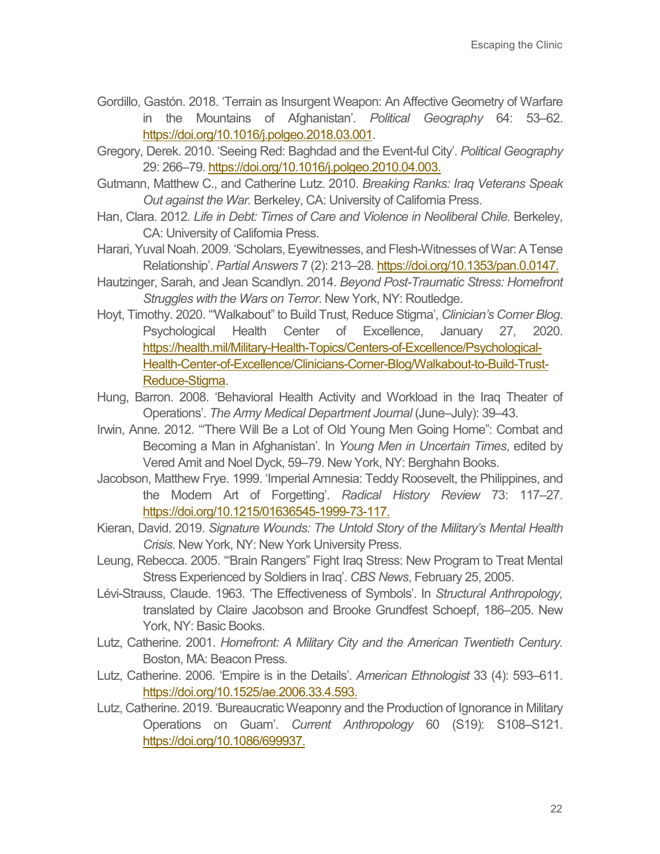- Gordillo, Gastón. 2018. 'Terrain as Insurgent Weapon: An Affective Geometry of Warfare in the Mountains of Afghanistan'. *Political Geography* 64: 53–62. [https://doi.org/10.1016/j.polgeo.2018.03.001.](https://doi.org/10.1016/j.polgeo.2018.03.001)
- Gregory, Derek. 2010. 'Seeing Red: Baghdad and the Event-ful City'. *Political Geography*  29: 266–79[. https://doi.org/10.1016/j.polgeo.2010.04.003.](https://doi.org/10.1016/j.polgeo.2010.04.003)
- Gutmann, Matthew C., and Catherine Lutz. 2010. *Breaking Ranks: Iraq Veterans Speak Out against the War.* Berkeley, CA: University of California Press.
- Han, Clara. 2012. *Life in Debt: Times of Care and Violence in Neoliberal Chile. Berkeley,* CA: University of California Press.
- Harari, Yuval Noah. 2009. 'Scholars, Eyewitnesses, and Flesh-Witnesses of War: A Tense Relationship'. *Partial Answers* 7 (2): 213–28[. https://doi.org/10.1353/pan.0.0147.](https://doi.org/10.1353/pan.0.0147)
- Hautzinger, Sarah, and Jean Scandlyn. 2014. *Beyond Post-Traumatic Stress: Homefront Struggles with the Wars on Terror*. New York, NY: Routledge.
- Hoyt, Timothy. 2020. '"Walkabout" to Build Trust, Reduce Stigma', *Clinician's Corner Blog*. Psychological Health Center of Excellence, January 27, 2020. [https://health.mil/Military-Health-Topics/Centers-of-Excellence/Psychological-](https://health.mil/Military-Health-Topics/Centers-of-Excellence/Psychological-Health-Center-of-Excellence/Clinicians-Corner-Blog/Walkabout-to-Build-Trust-Reduce-Stigma)[Health-Center-of-Excellence/Clinicians-Corner-Blog/Walkabout-to-Build-Trust-](https://health.mil/Military-Health-Topics/Centers-of-Excellence/Psychological-Health-Center-of-Excellence/Clinicians-Corner-Blog/Walkabout-to-Build-Trust-Reduce-Stigma)[Reduce-Stigma.](https://health.mil/Military-Health-Topics/Centers-of-Excellence/Psychological-Health-Center-of-Excellence/Clinicians-Corner-Blog/Walkabout-to-Build-Trust-Reduce-Stigma)
- Hung, Barron. 2008. 'Behavioral Health Activity and Workload in the Iraq Theater of Operations'. *The Army Medical Department Journal* (June–July): 39–43.
- Irwin, Anne. 2012. '"There Will Be a Lot of Old Young Men Going Home": Combat and Becoming a Man in Afghanistan'. In *Young Men in Uncertain Times*, edited by Vered Amit and Noel Dyck, 59–79. New York, NY: Berghahn Books.
- Jacobson, Matthew Frye. 1999. 'Imperial Amnesia: Teddy Roosevelt, the Philippines, and the Modern Art of Forgetting'. *Radical History Review* 73: 117–27. [https://doi.org/10.1215/01636545-1999-73-117.](https://doi.org/10.1215/01636545-1999-73-117)
- Kieran, David. 2019. *Signature Wounds: The Untold Story of the Military's Mental Health Crisis*. New York, NY: New York University Press.
- Leung, Rebecca. 2005. '"Brain Rangers" Fight Iraq Stress: New Program to Treat Mental Stress Experienced by Soldiers in Iraq'. *CBS News*, February 25, 2005.
- Lévi-Strauss, Claude. 1963. 'The Effectiveness of Symbols'. In *Structural Anthropology,*  translated by Claire Jacobson and Brooke Grundfest Schoepf, 186–205. New York, NY: Basic Books.
- Lutz, Catherine. 2001. *Homefront: A Military City and the American Twentieth Century.*  Boston, MA: Beacon Press.
- Lutz, Catherine. 2006. 'Empire is in the Details'. *American Ethnologist* 33 (4): 593–611. [https://doi.org/10.1525/ae.2006.33.4.593.](https://doi.org/10.1525/ae.2006.33.4.593)
- Lutz, Catherine. 2019. 'Bureaucratic Weaponry and the Production of Ignorance in Military Operations on Guam'. *Current Anthropology* 60 (S19): S108–S121. [https://doi.org/10.1086/699937.](https://doi.org/10.1086/699937)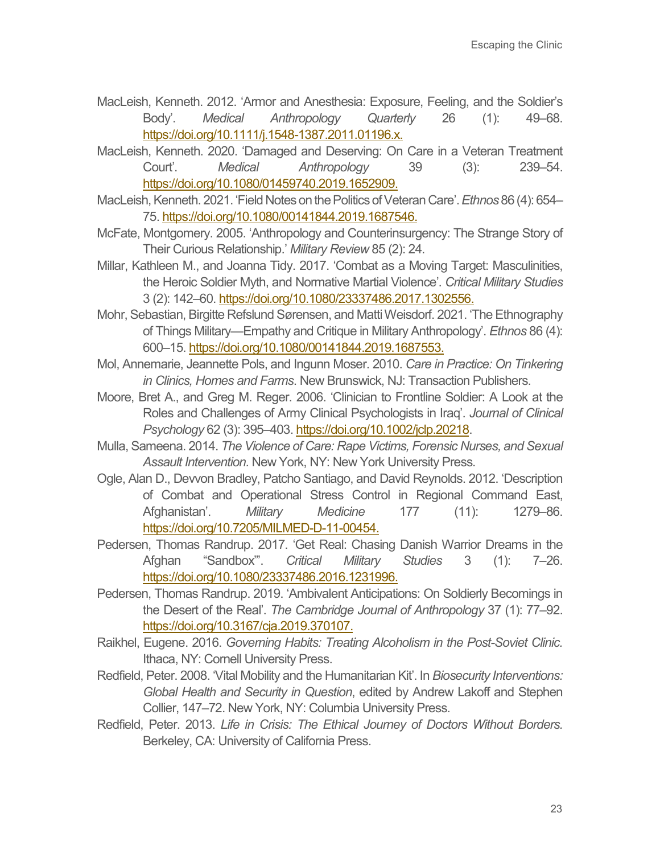- MacLeish, Kenneth. 2012. 'Armor and Anesthesia: Exposure, Feeling, and the Soldier's Body'. *Medical Anthropology Quarterly* 26 (1): 49–68. [https://doi.org/10.1111/j.1548-1387.2011.01196.x.](https://doi.org/10.1111/j.1548-1387.2011.01196.x)
- MacLeish, Kenneth. 2020. 'Damaged and Deserving: On Care in a Veteran Treatment Court'. *Medical Anthropology* 39 (3): 239–54. [https://doi.org/10.1080/01459740.2019.1652909.](https://doi.org/10.1080/01459740.2019.1652909)
- MacLeish, Kenneth. 2021. 'Field Notes on the Politics of Veteran Care'. *Ethnos* 86 (4): 654– 75[. https://doi.org/10.1080/00141844.2019.1687546.](https://doi.org/10.1080/00141844.2019.1687546)
- McFate, Montgomery. 2005. 'Anthropology and Counterinsurgency: The Strange Story of Their Curious Relationship.' *Military Review* 85 (2): 24.
- Millar, Kathleen M., and Joanna Tidy. 2017. 'Combat as a Moving Target: Masculinities, the Heroic Soldier Myth, and Normative Martial Violence'. *Critical Military Studies* 3 (2): 142–60. [https://doi.org/10.1080/23337486.2017.1302556.](https://doi.org/10.1080/23337486.2017.1302556)
- Mohr, Sebastian, Birgitte Refslund Sørensen, and Matti Weisdorf. 2021. 'The Ethnography of Things Military—Empathy and Critique in Military Anthropology'. *Ethnos* 86 (4): 600–15[. https://doi.org/10.1080/00141844.2019.1687553.](https://doi.org/10.1080/00141844.2019.1687553)
- Mol, Annemarie, Jeannette Pols, and Ingunn Moser. 2010. *Care in Practice: On Tinkering in Clinics, Homes and Farms*. New Brunswick, NJ: Transaction Publishers.
- Moore, Bret A., and Greg M. Reger. 2006. 'Clinician to Frontline Soldier: A Look at the Roles and Challenges of Army Clinical Psychologists in Iraq'. *Journal of Clinical Psychology* 62 (3): 395–403[. https://doi.org/10.1002/jclp.20218.](https://doi.org/10.1002/jclp.20218)
- Mulla, Sameena. 2014. *The Violence of Care: Rape Victims, Forensic Nurses, and Sexual Assault Intervention.* New York, NY: New York University Press.
- Ogle, Alan D., Devvon Bradley, Patcho Santiago, and David Reynolds. 2012. 'Description of Combat and Operational Stress Control in Regional Command East, Afghanistan'. *Military Medicine* 177 (11): 1279–86. [https://doi.org/10.7205/MILMED-D-11-00454.](https://doi.org/10.7205/MILMED-D-11-00454)
- Pedersen, Thomas Randrup. 2017. 'Get Real: Chasing Danish Warrior Dreams in the Afghan "Sandbox"'. *Critical Military Studies* 3 (1): 7–26. [https://doi.org/10.1080/23337486.2016.1231996.](https://doi.org/10.1080/23337486.2016.1231996)
- Pedersen, Thomas Randrup. 2019. 'Ambivalent Anticipations: On Soldierly Becomings in the Desert of the Real'. *The Cambridge Journal of Anthropology* 37 (1): 77–92. [https://doi.org/10.3167/cja.2019.370107.](https://doi.org/10.3167/cja.2019.370107)
- Raikhel, Eugene. 2016. *Governing Habits: Treating Alcoholism in the Post-Soviet Clinic.* Ithaca, NY: Cornell University Press.
- Redfield, Peter. 2008. 'Vital Mobility and the Humanitarian Kit'. In *Biosecurity Interventions: Global Health and Security in Question*, edited by Andrew Lakoff and Stephen Collier, 147–72. New York, NY: Columbia University Press.
- Redfield, Peter. 2013. *Life in Crisis: The Ethical Journey of Doctors Without Borders.* Berkeley, CA: University of California Press.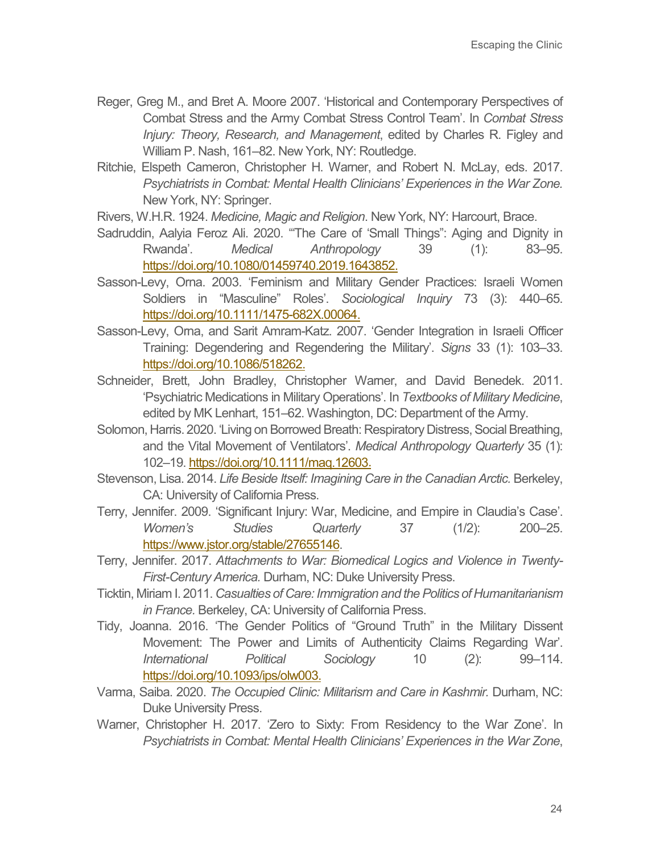- Reger, Greg M., and Bret A. Moore 2007. 'Historical and Contemporary Perspectives of Combat Stress and the Army Combat Stress Control Team'. In *Combat Stress Injury: Theory, Research, and Management*, edited by Charles R. Figley and William P. Nash, 161–82. New York, NY: Routledge.
- Ritchie, Elspeth Cameron, Christopher H. Warner, and Robert N. McLay, eds. 2017. *Psychiatrists in Combat: Mental Health Clinicians' Experiences in the War Zone.* New York, NY: Springer.

Rivers, W.H.R. 1924. *Medicine, Magic and Religion*. New York, NY: Harcourt, Brace.

- Sadruddin, Aalyia Feroz Ali. 2020. '"The Care of 'Small Things": Aging and Dignity in Rwanda'. *Medical Anthropology* 39 (1): 83–95. [https://doi.org/10.1080/01459740.2019.1643852.](https://doi.org/10.1080/01459740.2019.1643852)
- Sasson-Levy, Orna. 2003. 'Feminism and Military Gender Practices: Israeli Women Soldiers in "Masculine" Roles'. *Sociological Inquiry* 73 (3): 440–65. [https://doi.org/10.1111/1475-682X.00064.](https://doi.org/10.1111/1475-682X.00064)
- Sasson-Levy, Orna, and Sarit Amram-Katz. 2007. 'Gender Integration in Israeli Officer Training: Degendering and Regendering the Military'. *Signs* 33 (1): 103–33. [https://doi.org/10.1086/518262.](https://doi.org/10.1086/518262)
- Schneider, Brett, John Bradley, Christopher Warner, and David Benedek. 2011. 'Psychiatric Medications in Military Operations'. In *Textbooks of Military Medicine*, edited by MK Lenhart, 151–62. Washington, DC: Department of the Army.
- Solomon, Harris. 2020. 'Living on Borrowed Breath: Respiratory Distress, Social Breathing, and the Vital Movement of Ventilators'. *Medical Anthropology Quarterly* 35 (1): 102–19[. https://doi.org/10.1111/maq.12603.](https://doi.org/10.1111/maq.12603)
- Stevenson, Lisa. 2014. *Life Beside Itself: Imagining Care in the Canadian Arctic.* Berkeley, CA: University of California Press.
- Terry, Jennifer. 2009. 'Significant Injury: War, Medicine, and Empire in Claudia's Case'. *Women's Studies Quarterly* 37 (1/2): 200–25. [https://www.jstor.org/stable/27655146.](https://www.jstor.org/stable/27655146)
- Terry, Jennifer. 2017. *Attachments to War: Biomedical Logics and Violence in Twenty-First-Century America.* Durham, NC: Duke University Press.
- Ticktin, Miriam I. 2011. *Casualties of Care: Immigration and the Politics of Humanitarianism in France.* Berkeley, CA: University of California Press.
- Tidy, Joanna. 2016. 'The Gender Politics of "Ground Truth" in the Military Dissent Movement: The Power and Limits of Authenticity Claims Regarding War'. *International Political Sociology* 10 (2): 99–114. [https://doi.org/10.1093/ips/olw003.](https://doi.org/10.1093/ips/olw003)
- Varma, Saiba. 2020. *The Occupied Clinic: Militarism and Care in Kashmir.* Durham, NC: Duke University Press.
- Warner, Christopher H. 2017. 'Zero to Sixty: From Residency to the War Zone'. In *Psychiatrists in Combat: Mental Health Clinicians' Experiences in the War Zone*,